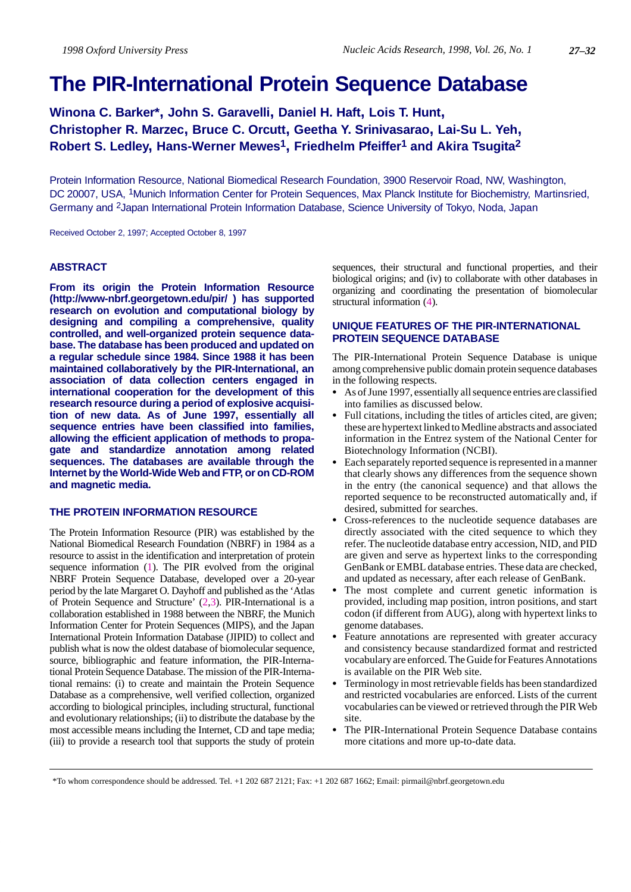# **The PIR-International Protein Sequence Database**

**Winona C. Barker\*, John S. Garavelli, Daniel H. Haft, Lois T. Hunt, Christopher R. Marzec, Bruce C. Orcutt, Geetha Y. Srinivasarao, Lai-Su L. Yeh, Robert S. Ledley, Hans-Werner Mewes1, Friedhelm Pfeiffer1 and Akira Tsugita2**

Protein Information Resource, National Biomedical Research Foundation, 3900 Reservoir Road, NW, Washington, DC 20007, USA, <sup>1</sup>Munich Information Center for Protein Sequences, Max Planck Institute for Biochemistry, Martinsried, Germany and 2Japan International Protein Information Database, Science University of Tokyo, Noda, Japan

Received October 2, 1997; Accepted October 8, 1997

### **ABSTRACT**

**From its origin the Protein Information Resource (http://www-nbrf.georgetown.edu/pir/ ) has supported research on evolution and computational biology by designing and compiling a comprehensive, quality controlled, and well-organized protein sequence database. The database has been produced and updated on a regular schedule since 1984. Since 1988 it has been maintained collaboratively by the PIR-International, an association of data collection centers engaged in international cooperation for the development of this research resource during a period of explosive acquisition of new data. As of June 1997, essentially all sequence entries have been classified into families, allowing the efficient application of methods to propagate and standardize annotation among related sequences. The databases are available through the Internet by the World-Wide Web and FTP, or on CD-ROM and magnetic media.**

# **THE PROTEIN INFORMATION RESOURCE**

The Protein Information Resource (PIR) was established by the National Biomedical Research Foundation (NBRF) in 1984 as a resource to assist in the identification and interpretation of protein sequence information (1). The PIR evolved from the original NBRF Protein Sequence Database, developed over a 20-year period by the late Margaret O. Dayhoff and published as the 'Atlas of Protein Sequence and Structure' (2,3). PIR-International is a collaboration established in 1988 between the NBRF, the Munich Information Center for Protein Sequences (MIPS), and the Japan International Protein Information Database (JIPID) to collect and publish what is now the oldest database of biomolecular sequence, source, bibliographic and feature information, the PIR-International Protein Sequence Database. The mission of the PIR-International remains: (i) to create and maintain the Protein Sequence Database as a comprehensive, well verified collection, organized according to biological principles, including structural, functional and evolutionary relationships; (ii) to distribute the database by the most accessible means including the Internet, CD and tape media; (iii) to provide a research tool that supports the study of protein

sequences, their structural and functional properties, and their biological origins; and (iv) to collaborate with other databases in organizing and coordinating the presentation of biomolecular structural information (4).

# **UNIQUE FEATURES OF THE PIR-INTERNATIONAL PROTEIN SEQUENCE DATABASE**

The PIR-International Protein Sequence Database is unique among comprehensive public domain protein sequence databases in the following respects.

- As of June 1997, essentially all sequence entries are classified into families as discussed below.
- Full citations, including the titles of articles cited, are given; these are hypertext linked to Medline abstracts and associated information in the Entrez system of the National Center for Biotechnology Information (NCBI).
- Each separately reported sequence is represented in a manner that clearly shows any differences from the sequence shown in the entry (the canonical sequence) and that allows the reported sequence to be reconstructed automatically and, if desired, submitted for searches.
- Cross-references to the nucleotide sequence databases are directly associated with the cited sequence to which they refer. The nucleotide database entry accession, NID, and PID are given and serve as hypertext links to the corresponding GenBank or EMBL database entries. These data are checked, and updated as necessary, after each release of GenBank.
- The most complete and current genetic information is provided, including map position, intron positions, and start codon (if different from AUG), along with hypertext links to genome databases.
- Feature annotations are represented with greater accuracy and consistency because standardized format and restricted vocabulary are enforced. The Guide for Features Annotations is available on the PIR Web site.
- Terminology in most retrievable fields has been standardized and restricted vocabularies are enforced. Lists of the current vocabularies can be viewed or retrieved through the PIR Web site.
- $\bullet$  The PIR-International Protein Sequence Database contains more citations and more up-to-date data.

<sup>\*</sup>To whom correspondence should be addressed. Tel. +1 202 687 2121; Fax: +1 202 687 1662; Email: pirmail@nbrf.georgetown.edu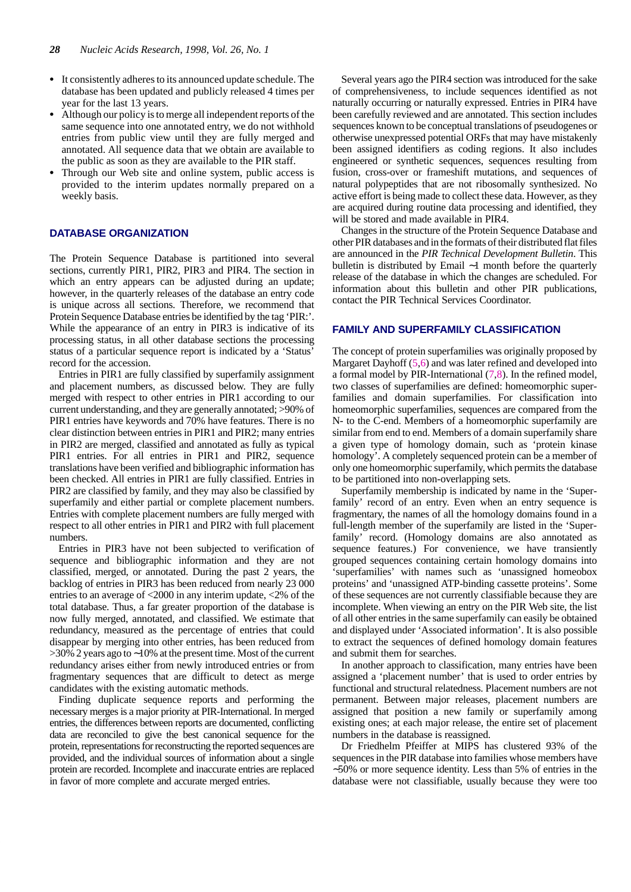- It consistently adheres to its announced update schedule. The database has been updated and publicly released 4 times per year for the last 13 years.
- Although our policy is to merge all independent reports of the same sequence into one annotated entry, we do not withhold entries from public view until they are fully merged and annotated. All sequence data that we obtain are available to the public as soon as they are available to the PIR staff.
- Through our Web site and online system, public access is provided to the interim updates normally prepared on a weekly basis.

# **DATABASE ORGANIZATION**

The Protein Sequence Database is partitioned into several sections, currently PIR1, PIR2, PIR3 and PIR4. The section in which an entry appears can be adjusted during an update; however, in the quarterly releases of the database an entry code is unique across all sections. Therefore, we recommend that Protein Sequence Database entries be identified by the tag 'PIR:'. While the appearance of an entry in PIR3 is indicative of its processing status, in all other database sections the processing status of a particular sequence report is indicated by a 'Status' record for the accession.

Entries in PIR1 are fully classified by superfamily assignment and placement numbers, as discussed below. They are fully merged with respect to other entries in PIR1 according to our current understanding, and they are generally annotated; >90% of PIR1 entries have keywords and 70% have features. There is no clear distinction between entries in PIR1 and PIR2; many entries in PIR2 are merged, classified and annotated as fully as typical PIR1 entries. For all entries in PIR1 and PIR2, sequence translations have been verified and bibliographic information has been checked. All entries in PIR1 are fully classified. Entries in PIR2 are classified by family, and they may also be classified by superfamily and either partial or complete placement numbers. Entries with complete placement numbers are fully merged with respect to all other entries in PIR1 and PIR2 with full placement numbers.

Entries in PIR3 have not been subjected to verification of sequence and bibliographic information and they are not classified, merged, or annotated. During the past 2 years, the backlog of entries in PIR3 has been reduced from nearly 23 000 entries to an average of <2000 in any interim update, <2% of the total database. Thus, a far greater proportion of the database is now fully merged, annotated, and classified. We estimate that redundancy, measured as the percentage of entries that could disappear by merging into other entries, has been reduced from >30% 2 years ago to ∼10% at the present time. Most of the current redundancy arises either from newly introduced entries or from fragmentary sequences that are difficult to detect as merge candidates with the existing automatic methods.

Finding duplicate sequence reports and performing the necessary merges is a major priority at PIR-International. In merged entries, the differences between reports are documented, conflicting data are reconciled to give the best canonical sequence for the protein, representations for reconstructing the reported sequences are provided, and the individual sources of information about a single protein are recorded. Incomplete and inaccurate entries are replaced in favor of more complete and accurate merged entries.

Several years ago the PIR4 section was introduced for the sake of comprehensiveness, to include sequences identified as not naturally occurring or naturally expressed. Entries in PIR4 have been carefully reviewed and are annotated. This section includes sequences known to be conceptual translations of pseudogenes or otherwise unexpressed potential ORFs that may have mistakenly been assigned identifiers as coding regions. It also includes engineered or synthetic sequences, sequences resulting from fusion, cross-over or frameshift mutations, and sequences of natural polypeptides that are not ribosomally synthesized. No active effort is being made to collect these data. However, as they are acquired during routine data processing and identified, they will be stored and made available in PIR4.

Changes in the structure of the Protein Sequence Database and other PIR databases and in the formats of their distributed flat files are announced in the *PIR Technical Development Bulletin*. This bulletin is distributed by Email ∼1 month before the quarterly release of the database in which the changes are scheduled. For information about this bulletin and other PIR publications, contact the PIR Technical Services Coordinator.

#### **FAMILY AND SUPERFAMILY CLASSIFICATION**

The concept of protein superfamilies was originally proposed by Margaret Dayhoff (5,6) and was later refined and developed into a formal model by PIR-International (7,8). In the refined model, two classes of superfamilies are defined: homeomorphic superfamilies and domain superfamilies. For classification into homeomorphic superfamilies, sequences are compared from the N- to the C-end. Members of a homeomorphic superfamily are similar from end to end. Members of a domain superfamily share a given type of homology domain, such as 'protein kinase homology'. A completely sequenced protein can be a member of only one homeomorphic superfamily, which permits the database to be partitioned into non-overlapping sets.

Superfamily membership is indicated by name in the 'Superfamily' record of an entry. Even when an entry sequence is fragmentary, the names of all the homology domains found in a full-length member of the superfamily are listed in the 'Superfamily' record. (Homology domains are also annotated as sequence features.) For convenience, we have transiently grouped sequences containing certain homology domains into 'superfamilies' with names such as 'unassigned homeobox proteins' and 'unassigned ATP-binding cassette proteins'. Some of these sequences are not currently classifiable because they are incomplete. When viewing an entry on the PIR Web site, the list of all other entries in the same superfamily can easily be obtained and displayed under 'Associated information'. It is also possible to extract the sequences of defined homology domain features and submit them for searches.

In another approach to classification, many entries have been assigned a 'placement number' that is used to order entries by functional and structural relatedness. Placement numbers are not permanent. Between major releases, placement numbers are assigned that position a new family or superfamily among existing ones; at each major release, the entire set of placement numbers in the database is reassigned.

Dr Friedhelm Pfeiffer at MIPS has clustered 93% of the sequences in the PIR database into families whose members have ∼50% or more sequence identity. Less than 5% of entries in the database were not classifiable, usually because they were too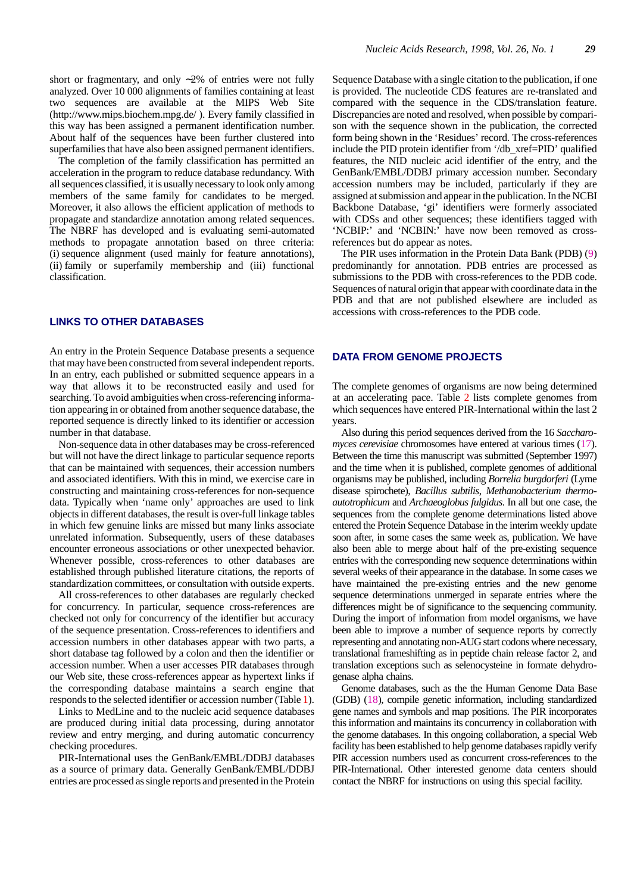short or fragmentary, and only ∼2% of entries were not fully analyzed. Over 10 000 alignments of families containing at least two sequences are available at the MIPS Web Site (http://www.mips.biochem.mpg.de/ ). Every family classified in this way has been assigned a permanent identification number. About half of the sequences have been further clustered into superfamilies that have also been assigned permanent identifiers.

The completion of the family classification has permitted an acceleration in the program to reduce database redundancy. With all sequences classified, it is usually necessary to look only among members of the same family for candidates to be merged. Moreover, it also allows the efficient application of methods to propagate and standardize annotation among related sequences. The NBRF has developed and is evaluating semi-automated methods to propagate annotation based on three criteria: (i) sequence alignment (used mainly for feature annotations), (ii) family or superfamily membership and (iii) functional classification.

#### **LINKS TO OTHER DATABASES**

An entry in the Protein Sequence Database presents a sequence that may have been constructed from several independent reports. In an entry, each published or submitted sequence appears in a way that allows it to be reconstructed easily and used for searching. To avoid ambiguities when cross-referencing information appearing in or obtained from another sequence database, the reported sequence is directly linked to its identifier or accession number in that database.

Non-sequence data in other databases may be cross-referenced but will not have the direct linkage to particular sequence reports that can be maintained with sequences, their accession numbers and associated identifiers. With this in mind, we exercise care in constructing and maintaining cross-references for non-sequence data. Typically when 'name only' approaches are used to link objects in different databases, the result is over-full linkage tables in which few genuine links are missed but many links associate unrelated information. Subsequently, users of these databases encounter erroneous associations or other unexpected behavior. Whenever possible, cross-references to other databases are established through published literature citations, the reports of standardization committees, or consultation with outside experts.

All cross-references to other databases are regularly checked for concurrency. In particular, sequence cross-references are checked not only for concurrency of the identifier but accuracy of the sequence presentation. Cross-references to identifiers and accession numbers in other databases appear with two parts, a short database tag followed by a colon and then the identifier or accession number. When a user accesses PIR databases through our Web site, these cross-references appear as hypertext links if the corresponding database maintains a search engine that responds to the selected identifier or accession number (Table 1).

Links to MedLine and to the nucleic acid sequence databases are produced during initial data processing, during annotator review and entry merging, and during automatic concurrency checking procedures.

PIR-International uses the GenBank/EMBL/DDBJ databases as a source of primary data. Generally GenBank/EMBL/DDBJ entries are processed as single reports and presented in the Protein

Sequence Database with a single citation to the publication, if one is provided. The nucleotide CDS features are re-translated and compared with the sequence in the CDS/translation feature. Discrepancies are noted and resolved, when possible by comparison with the sequence shown in the publication, the corrected form being shown in the 'Residues' record. The cross-references include the PID protein identifier from '/db\_xref=PID' qualified features, the NID nucleic acid identifier of the entry, and the GenBank/EMBL/DDBJ primary accession number. Secondary accession numbers may be included, particularly if they are assigned at submission and appear in the publication. In the NCBI Backbone Database, 'gi' identifiers were formerly associated with CDSs and other sequences; these identifiers tagged with 'NCBIP:' and 'NCBIN:' have now been removed as crossreferences but do appear as notes.

The PIR uses information in the Protein Data Bank (PDB) (9) predominantly for annotation. PDB entries are processed as submissions to the PDB with cross-references to the PDB code. Sequences of natural origin that appear with coordinate data in the PDB and that are not published elsewhere are included as accessions with cross-references to the PDB code.

#### **DATA FROM GENOME PROJECTS**

The complete genomes of organisms are now being determined at an accelerating pace. Table 2 lists complete genomes from which sequences have entered PIR-International within the last 2 years.

Also during this period sequences derived from the 16 *Saccharomyces cerevisiae* chromosomes have entered at various times (17). Between the time this manuscript was submitted (September 1997) and the time when it is published, complete genomes of additional organisms may be published, including *Borrelia burgdorferi* (Lyme disease spirochete), *Bacillus subtilis*, *Methanobacterium thermoautotrophicum* and *Archaeoglobus fulgidus*. In all but one case, the sequences from the complete genome determinations listed above entered the Protein Sequence Database in the interim weekly update soon after, in some cases the same week as, publication. We have also been able to merge about half of the pre-existing sequence entries with the corresponding new sequence determinations within several weeks of their appearance in the database. In some cases we have maintained the pre-existing entries and the new genome sequence determinations unmerged in separate entries where the differences might be of significance to the sequencing community. During the import of information from model organisms, we have been able to improve a number of sequence reports by correctly representing and annotating non-AUG start codons where necessary, translational frameshifting as in peptide chain release factor 2, and translation exceptions such as selenocysteine in formate dehydrogenase alpha chains.

Genome databases, such as the the Human Genome Data Base (GDB) (18), compile genetic information, including standardized gene names and symbols and map positions. The PIR incorporates this information and maintains its concurrency in collaboration with the genome databases. In this ongoing collaboration, a special Web facility has been established to help genome databases rapidly verify PIR accession numbers used as concurrent cross-references to the PIR-International. Other interested genome data centers should contact the NBRF for instructions on using this special facility.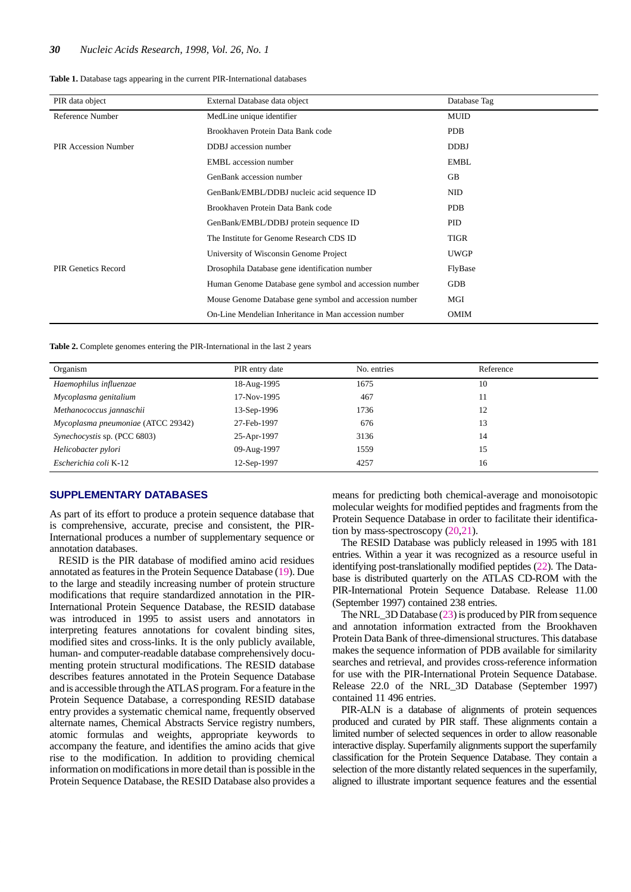|  |  |  | <b>Table 1.</b> Database tags appearing in the current PIR-International databases |
|--|--|--|------------------------------------------------------------------------------------|
|--|--|--|------------------------------------------------------------------------------------|

| PIR data object                                      | External Database data object                          | Database Tag |
|------------------------------------------------------|--------------------------------------------------------|--------------|
| Reference Number                                     | MedLine unique identifier                              | MUID         |
|                                                      | Brookhaven Protein Data Bank code                      | <b>PDB</b>   |
| DDBJ accession number<br><b>PIR Accession Number</b> |                                                        | <b>DDBJ</b>  |
|                                                      | <b>EMBL</b> accession number                           | <b>EMBL</b>  |
|                                                      | GenBank accession number                               | GB           |
|                                                      | GenBank/EMBL/DDBJ nucleic acid sequence ID             | <b>NID</b>   |
|                                                      | Brookhaven Protein Data Bank code                      | <b>PDB</b>   |
|                                                      | GenBank/EMBL/DDBJ protein sequence ID                  | <b>PID</b>   |
|                                                      | The Institute for Genome Research CDS ID               | TIGR         |
|                                                      | University of Wisconsin Genome Project                 | <b>UWGP</b>  |
| <b>PIR Genetics Record</b>                           | Drosophila Database gene identification number         | FlyBase      |
|                                                      | Human Genome Database gene symbol and accession number | <b>GDB</b>   |
|                                                      | Mouse Genome Database gene symbol and accession number | MGI          |
|                                                      | On-Line Mendelian Inheritance in Man accession number  | <b>OMIM</b>  |

Table 2. Complete genomes entering the PIR-International in the last 2 years

| Organism                            | PIR entry date | No. entries | Reference |
|-------------------------------------|----------------|-------------|-----------|
| Haemophilus influenzae              | 18-Aug-1995    | 1675        | 10        |
| Mycoplasma genitalium               | 17-Nov-1995    | 467         | 11        |
| Methanococcus jannaschii            | 13-Sep-1996    | 1736        | 12        |
| Mycoplasma pneumoniae (ATCC 29342)  | 27-Feb-1997    | 676         | 13        |
| <i>Synechocystis sp.</i> (PCC 6803) | 25-Apr-1997    | 3136        | 14        |
| Helicobacter pylori                 | 09-Aug-1997    | 1559        | 15        |
| Escherichia coli K-12               | 12-Sep-1997    | 4257        | 16        |

# **SUPPLEMENTARY DATABASES**

As part of its effort to produce a protein sequence database that is comprehensive, accurate, precise and consistent, the PIR-International produces a number of supplementary sequence or annotation databases.

RESID is the PIR database of modified amino acid residues annotated as features in the Protein Sequence Database (19). Due to the large and steadily increasing number of protein structure modifications that require standardized annotation in the PIR-International Protein Sequence Database, the RESID database was introduced in 1995 to assist users and annotators in interpreting features annotations for covalent binding sites, modified sites and cross-links. It is the only publicly available, human- and computer-readable database comprehensively documenting protein structural modifications. The RESID database describes features annotated in the Protein Sequence Database and is accessible through the ATLAS program. For a feature in the Protein Sequence Database, a corresponding RESID database entry provides a systematic chemical name, frequently observed alternate names, Chemical Abstracts Service registry numbers, atomic formulas and weights, appropriate keywords to accompany the feature, and identifies the amino acids that give rise to the modification. In addition to providing chemical information on modifications in more detail than is possible in the Protein Sequence Database, the RESID Database also provides a means for predicting both chemical-average and monoisotopic molecular weights for modified peptides and fragments from the Protein Sequence Database in order to facilitate their identification by mass-spectroscopy (20,21).

The RESID Database was publicly released in 1995 with 181 entries. Within a year it was recognized as a resource useful in identifying post-translationally modified peptides (22). The Database is distributed quarterly on the ATLAS CD-ROM with the PIR-International Protein Sequence Database. Release 11.00 (September 1997) contained 238 entries.

The NRL\_3D Database (23) is produced by PIR from sequence and annotation information extracted from the Brookhaven Protein Data Bank of three-dimensional structures. This database makes the sequence information of PDB available for similarity searches and retrieval, and provides cross-reference information for use with the PIR-International Protein Sequence Database. Release 22.0 of the NRL\_3D Database (September 1997) contained 11 496 entries.

PIR-ALN is a database of alignments of protein sequences produced and curated by PIR staff. These alignments contain a limited number of selected sequences in order to allow reasonable interactive display. Superfamily alignments support the superfamily classification for the Protein Sequence Database. They contain a selection of the more distantly related sequences in the superfamily, aligned to illustrate important sequence features and the essential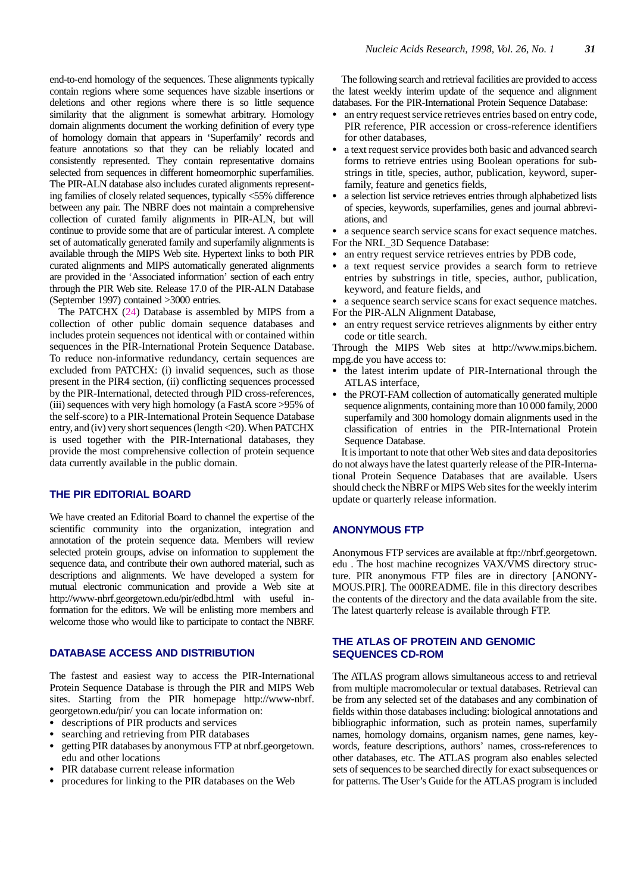end-to-end homology of the sequences. These alignments typically contain regions where some sequences have sizable insertions or deletions and other regions where there is so little sequence similarity that the alignment is somewhat arbitrary. Homology domain alignments document the working definition of every type of homology domain that appears in 'Superfamily' records and feature annotations so that they can be reliably located and consistently represented. They contain representative domains selected from sequences in different homeomorphic superfamilies. The PIR-ALN database also includes curated alignments representing families of closely related sequences, typically <55% difference between any pair. The NBRF does not maintain a comprehensive collection of curated family alignments in PIR-ALN, but will continue to provide some that are of particular interest. A complete set of automatically generated family and superfamily alignments is available through the MIPS Web site. Hypertext links to both PIR curated alignments and MIPS automatically generated alignments are provided in the 'Associated information' section of each entry through the PIR Web site. Release 17.0 of the PIR-ALN Database (September 1997) contained >3000 entries.

The PATCHX (24) Database is assembled by MIPS from a collection of other public domain sequence databases and includes protein sequences not identical with or contained within sequences in the PIR-International Protein Sequence Database. To reduce non-informative redundancy, certain sequences are excluded from PATCHX: (i) invalid sequences, such as those present in the PIR4 section, (ii) conflicting sequences processed by the PIR-International, detected through PID cross-references, (iii) sequences with very high homology (a FastA score >95% of the self-score) to a PIR-International Protein Sequence Database entry, and (iv) very short sequences (length <20). When PATCHX is used together with the PIR-International databases, they provide the most comprehensive collection of protein sequence data currently available in the public domain.

# **THE PIR EDITORIAL BOARD**

We have created an Editorial Board to channel the expertise of the scientific community into the organization, integration and annotation of the protein sequence data. Members will review selected protein groups, advise on information to supplement the sequence data, and contribute their own authored material, such as descriptions and alignments. We have developed a system for mutual electronic communication and provide a Web site at http://www-nbrf.georgetown.edu/pir/edbd.html with useful information for the editors. We will be enlisting more members and welcome those who would like to participate to contact the NBRF.

# **DATABASE ACCESS AND DISTRIBUTION**

The fastest and easiest way to access the PIR-International Protein Sequence Database is through the PIR and MIPS Web sites. Starting from the PIR homepage http://www-nbrf. georgetown.edu/pir/ you can locate information on:

- descriptions of PIR products and services <sup>•</sup>
- searching and retrieving from PIR databases  $\bullet$
- getting PIR databases by anonymous FTP at nbrf.georgetown. edu and other locations
- PIR database current release information <sup>•</sup>
- procedures for linking to the PIR databases on the Web

The following search and retrieval facilities are provided to access the latest weekly interim update of the sequence and alignment databases. For the PIR-International Protein Sequence Database:

- an entry request service retrieves entries based on entry code, PIR reference, PIR accession or cross-reference identifiers for other databases,
- a text request service provides both basic and advanced search forms to retrieve entries using Boolean operations for substrings in title, species, author, publication, keyword, superfamily, feature and genetics fields,
- a selection list service retrieves entries through alphabetized lists of species, keywords, superfamilies, genes and journal abbreviations, and
- a sequence search service scans for exact sequence matches. For the NRL\_3D Sequence Database:
- an entry request service retrieves entries by PDB code,  $\bullet$
- a text request service provides a search form to retrieve entries by substrings in title, species, author, publication, keyword, and feature fields, and
- a sequence search service scans for exact sequence matches. For the PIR-ALN Alignment Database,
- an entry request service retrieves alignments by either entry code or title search.

Through the MIPS Web sites at http://www.mips.bichem. mpg.de you have access to:

- the latest interim update of PIR-International through the ATLAS interface,
- the PROT-FAM collection of automatically generated multiple sequence alignments, containing more than 10 000 family, 2000 superfamily and 300 homology domain alignments used in the classification of entries in the PIR-International Protein Sequence Database.

It is important to note that other Web sites and data depositories do not always have the latest quarterly release of the PIR-International Protein Sequence Databases that are available. Users should check the NBRF or MIPS Web sites for the weekly interim update or quarterly release information.

#### **ANONYMOUS FTP**

Anonymous FTP services are available at ftp://nbrf.georgetown. edu . The host machine recognizes VAX/VMS directory structure. PIR anonymous FTP files are in directory [ANONY-MOUS.PIR]. The 000README. file in this directory describes the contents of the directory and the data available from the site. The latest quarterly release is available through FTP.

# **THE ATLAS OF PROTEIN AND GENOMIC SEQUENCES CD-ROM**

The ATLAS program allows simultaneous access to and retrieval from multiple macromolecular or textual databases. Retrieval can be from any selected set of the databases and any combination of fields within those databases including: biological annotations and bibliographic information, such as protein names, superfamily names, homology domains, organism names, gene names, keywords, feature descriptions, authors' names, cross-references to other databases, etc. The ATLAS program also enables selected sets of sequences to be searched directly for exact subsequences or for patterns. The User's Guide for the ATLAS program is included